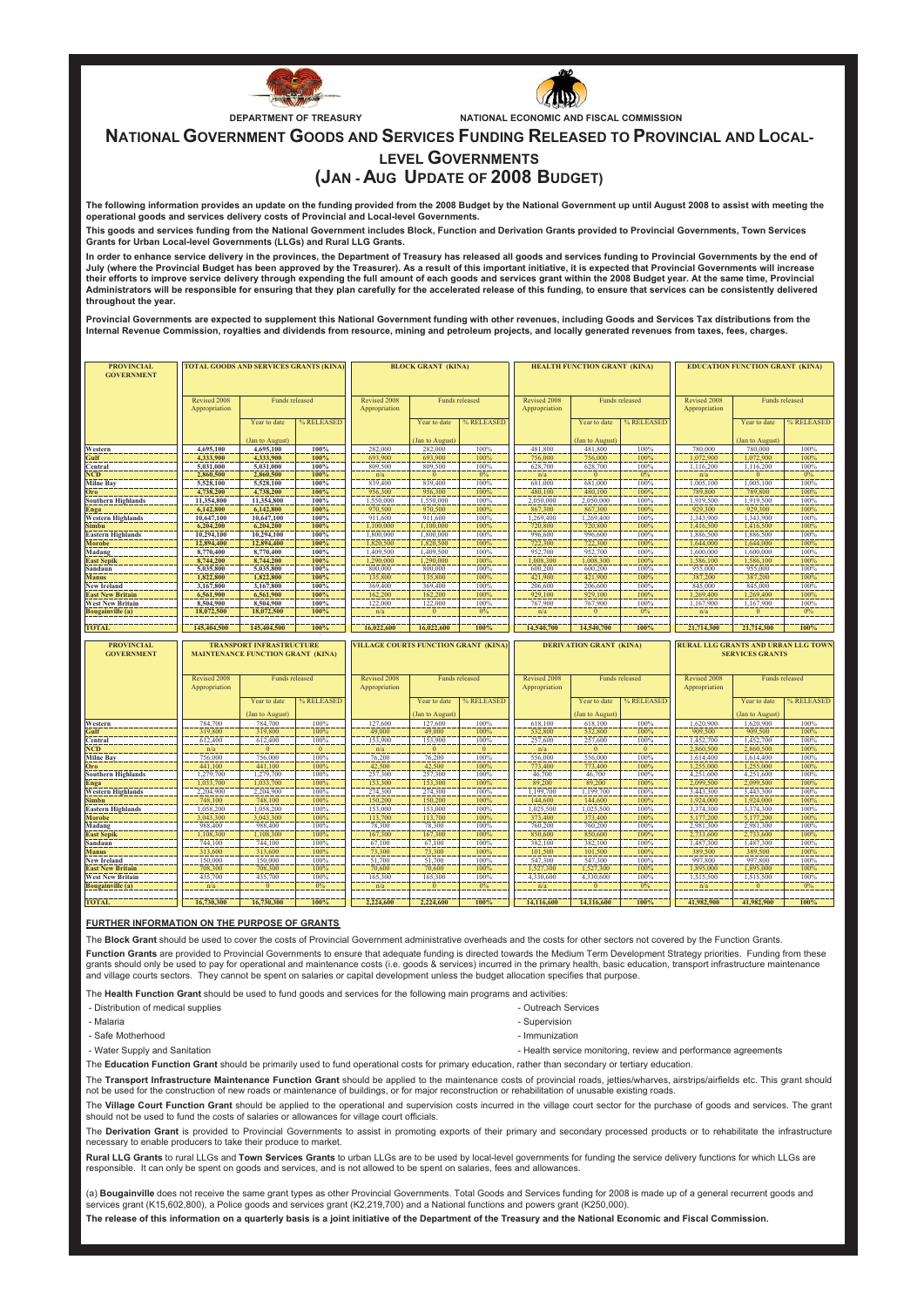



**DEPARTMENT OF TREASURY NATIONAL ECONOMIC AND FISCAL COMMISSION**

**NATIONAL GOVERNMENT GOODS AND SERVICES FUNDING RELEASED TO PROVINCIAL AND LOCAL-**

## **(JAN - AUG UPDATE OF 2008 BUDGET) LEVEL GOVERNMENTS**

**The following information provides an update on the funding provided from the 2008 Budget by the National Government up until August 2008 to assist with meeting the operational goods and services delivery costs of Provincial and Local-level Governments.**

**This goods and services funding from the National Government includes Block, Function and Derivation Grants provided to Provincial Governments, Town Services Grants for Urban Local-level Governments (LLGs) and Rural LLG Grants.**

In order to enhance service delivery in the provinces, the Department of Treasury has released all goods and services funding to Provincial Governments by the end of **July (where the Provincial Budget has been approved by the Treasurer). As a result of this important initiative, it is expected that Provincial Governments will increase their efforts to improve service delivery through expending the full amount of each goods and services grant within the 2008 Budget year. At the same time, Provincial Administrators will be responsible for ensuring that they plan carefully for the accelerated release of this funding, to ensure that services can be consistently delivered throughout the year.**

**Provincial Governments are expected to supplement this National Government funding with other revenues, including Goods and Services Tax distributions from the Internal Revenue Commission, royalties and dividends from resource, mining and petroleum projects, and locally generated revenues from taxes, fees, charges.**

| <b>PROVINCIAL</b><br><b>GOVERNMENT</b>    | <b>TOTAL GOODS AND SERVICES GRANTS (KINA)</b> |                                                                             |              | <b>BLOCK GRANT (KINA)</b>                   |                            |              |                               | HEALTH FUNCTION GRANT (KINA)   |              | <b>EDUCATION FUNCTION GRANT (KINA)</b> |                        |                |
|-------------------------------------------|-----------------------------------------------|-----------------------------------------------------------------------------|--------------|---------------------------------------------|----------------------------|--------------|-------------------------------|--------------------------------|--------------|----------------------------------------|------------------------|----------------|
|                                           | Revised 2008<br>Appropriation                 | <b>Funds</b> released                                                       |              | Revised 2008<br>Appropriation               | <b>Funds</b> released      |              | Revised 2008<br>Appropriation | <b>Funds</b> released          |              | Revised 2008<br>Appropriation          | <b>Funds</b> released  |                |
|                                           |                                               | Year to date                                                                | % RELEASED   |                                             | Year to date               | % RELEASED   |                               | Year to date                   | % RELEASED   |                                        | Year to date           | % RELEASED     |
|                                           |                                               | (Jan to August)                                                             | 100%         | 282,000                                     | (Jan to August)<br>282,000 | 100%         | 481,800                       | (Jan to August)                | 100%         | 780,000                                | (Jan to August)        | 100%           |
| Western<br>Gulf                           | 4,695,100<br>4.333,900                        | 4,695,100<br>4,333,900                                                      | 100%         | 693,900                                     | 693,900                    | 100%         | 756,000                       | 481,800<br>756,000             | 100%         | 1,072,900                              | 780,000<br>1,072,900   | 100%           |
| Central                                   | 5,031,000                                     | 5.031.000                                                                   | 100%         | 809,500                                     | 809,500                    | 100%         | 628,700                       | 628,700                        | 100%         | 1.116.200                              | 1,116,200              | 100%           |
| <b>NCD</b>                                | 2,860,500                                     | 2,860,500                                                                   | 100%         | n/a                                         | $\overline{0}$             | 0%           | n/a                           | $\mathbf{0}$                   | 0%           | n/a                                    | $\mathbf{0}$           | 0%             |
| <b>Milne Bay</b>                          | 5,528,100                                     | 5,528,100                                                                   | 100%         | 839,400                                     | 839,400                    | 100%         | 681,000                       | 681,000                        | 100%         | 1,005,100                              | 1,005,100              | 100%           |
| Oro                                       | 4,738,200                                     | 4,738,200                                                                   | 100%         | 956,300                                     | 956,300                    | 100%         | 480,100                       | 480,100                        | 100%         | 789,800                                | 789,800                | 100%           |
| <b>Southern Highlands</b>                 | 11,354,800                                    | 11.354,800                                                                  | 100%         | 1.550,000                                   | 1.550,000                  | 100%         | 2.050.000                     | 2.050.000                      | 100%         | 1.919.500                              | 1,919,500              | 100%           |
| <b>Enga</b>                               | 6,142,800                                     | 6,142,800                                                                   | 100%         | 970,500                                     | 970,500                    | 100%         | 867,300                       | 867,300                        | 100%         | 929,300                                | 929,300                | 100%           |
| <b>Western Highlands</b>                  | 10,647,100                                    | 10,647,100                                                                  | 100%         | 911,600                                     | 911.600                    | 100%         | 1,269,400                     | 1,269,400                      | 100%         | 1.343.900                              | 1,343,900              | 100%           |
| Simbu                                     | 6,204,200<br>10,294,100                       | 6,204,200<br>10,294,100                                                     | 100%<br>100% | 1,100,000<br>1,800,000                      | 1,100,000<br>1,800,000     | 100%<br>100% | 720,800<br>996,600            | 720,800<br>996,600             | 100%<br>100% | 1,416,500<br>1,886,500                 | 1,416,500<br>1,886,500 | 100%<br>100%   |
| <b>Eastern Highlands</b><br><b>Morobe</b> | 12,894,400                                    | 12,894,400                                                                  | 100%         | 1,820,500                                   | 1,820,500                  | 100%         | 722,300                       | 722,300                        | 100%         | 1,644,000                              | 1,644,000              | 100%           |
| Madang                                    | 8,770,400                                     | 8,770,400                                                                   | 100%         | 1,409,500                                   | 1,409,500                  | 100%         | 952,700                       | 952,700                        | 100%         | 1,600,000                              | 1,600,000              | 100%           |
| <b>East Sepik</b>                         | 8,744,200                                     | 8,744,200                                                                   | 100%         | 1,290,000                                   | 1,290,000                  | 100%         | 1,008,300                     | 1,008,300                      | 100%         | 1,586,100                              | 1,586,100              | 100%           |
| Sandaun                                   | 5,035,800                                     | 5,035,800                                                                   | 100%         | 800,000                                     | 800,000                    | 100%         | 600.200                       | 600,200                        | 100%         | 955,000                                | 955,000                | 100%           |
| <b>Manus</b>                              | 1,822,800                                     | 1,822,800                                                                   | 100%         | 135,800                                     | 135,800                    | 100%         | 421,900                       | 421,900                        | 100%         | 387,200                                | 387,200                | 100%           |
| <b>New Ireland</b>                        | 3,167,800                                     | 3,167,800                                                                   | 100%         | 369,400                                     | 369,400                    | 100%         | 206,600                       | 206,600                        | 100%         | 845,000                                | 845,000                | 100%           |
| <b>East New Britain</b>                   | 6,561,900                                     | 6.561.900                                                                   | 100%         | 162,200                                     | 162,200                    | 100%         | 929,100                       | 929,100                        | 100%         | 1.269,400                              | 1.269,400              | 100%           |
| <b>West New Britain</b>                   | 8,504,900                                     | 8,504,900                                                                   | 100%         | 122,000                                     | 122,000                    | 100%         | 767,900                       | 767,900                        | 100%         | 1,167,900                              | 1,167,900              | 100%           |
| Bougainville (a)                          | 18,072,500                                    | 18,072,500                                                                  | 100%         | n/a                                         | $\bf{0}$                   | $0\%$        | n/a                           | $\mathbf{0}$                   | 0%           | n/a                                    | $\bf{0}$               | $0\%$          |
| <b>TOTAL</b>                              | 145,404.500                                   | 145,404,500                                                                 | 100%         | 16,022,600                                  | 16,022,600                 | 100%         | 14,540,700                    | 14,540,700                     | 100%         | 21,714,300                             | 21,714,300             | 100%           |
|                                           |                                               |                                                                             |              |                                             |                            |              |                               |                                |              |                                        |                        |                |
|                                           |                                               |                                                                             |              |                                             |                            |              |                               |                                |              |                                        |                        |                |
| <b>PROVINCIAL</b><br><b>GOVERNMENT</b>    |                                               | <b>TRANSPORT INFRASTRUCTURE</b><br><b>MAINTENANCE FUNCTION GRANT (KINA)</b> |              | <b>VILLAGE COURTS FUNCTION GRANT (KINA)</b> |                            |              |                               | <b>DERIVATION GRANT (KINA)</b> |              | RURAL LLG GRANTS AND URBAN LLG TOWN    | <b>SERVICES GRANTS</b> |                |
|                                           | Revised 2008<br>Appropriation                 | Funds released                                                              |              | Revised 2008<br>Appropriation               | Funds released             |              | Revised 2008<br>Appropriation | Funds released                 |              | Revised 2008<br>Appropriation          |                        | Funds released |
|                                           |                                               | Year to date                                                                | % RELEASED   |                                             | Year to date               | % RELEASED   |                               | Year to date                   | % RELEASED   |                                        | Year to date           | % RELEASED     |
|                                           |                                               | (Jan to August)                                                             |              |                                             | (Jan to August)            |              |                               | (Jan to August)                |              |                                        | (Jan to August)        |                |
| Western<br>Gulf                           | 784,700<br>319,800                            | 784,700<br>319,800                                                          | 100%<br>100% | 127,600<br>49,000                           | 127,600<br>49,000          | 100%<br>100% | 618,100<br>532,800            | 618,100<br>532,800             | 100%<br>100% | 1,620,900<br>909.500                   | 1,620,900<br>909,500   | 100%<br>100%   |
| Central                                   | 612,400                                       | 612,400                                                                     | 100%         | 153,900                                     | 153,900                    | 100%         | 257,600                       | 257,600                        | 100%         | 1,452,700                              | 1,452,700              | 100%           |
| <b>NCD</b>                                | n/a                                           | $\bf{0}$                                                                    | $\bf{0}$     | n/a                                         | $\bf{0}$                   | $\mathbf{0}$ | n/a                           | $\bf{0}$                       | $\bf{0}$     | 2,860,500                              | 2,860,500              | 100%           |
| <b>Milne Bay</b>                          | 756,000                                       | 756,000                                                                     | 100%         | 76,200                                      | 76,200                     | 100%         | 556,000                       | 556,000                        | 100%         | 1,614,400                              | 1,614,400              | 100%           |
| Oro                                       | 441,100                                       | 441,100                                                                     | 100%         | 42,500                                      | 42,500                     | 100%         | 773,400                       | 773,400                        | 100%         | 1,255,000                              | 1,255,000              | 100%           |
| <b>Southern Highlands</b>                 | 1.279.700                                     | 1,279,700                                                                   | 100%         | 257,300                                     | 257,300                    | 100%         | 46.700                        | 46,700                         | 100%         | 4,251,600                              | 4,251,600              | 100%           |
| Enga                                      | 1,033,700                                     | 1,033,700                                                                   | 100%         | 153,300                                     | 153,300                    | 100%         | 89,200                        | 89,200                         | 100%         | 2,099,500                              | 2,099,500              | 100%           |
| <b>Western Highlands</b>                  | 2,204,900                                     | 2,204,900                                                                   | 100%         | 274,300                                     | 274,300                    | 100%         | 1,199,700                     | 1,199,700                      | 100%         | 3,443,300                              | 3,443,300              | 100%           |
| <b>Simbu</b>                              | 748,100                                       | 748,100                                                                     | 100%         | 150,200                                     | 150,200                    | 100%         | 144,600                       | 144,600                        | 100%         | 1.924.000                              | 1.924.000              | 100%           |
| <b>Eastern Highlands</b>                  | 1,058,200<br>3,043,300                        | 1,058,200                                                                   | 100%<br>100% | 153,000                                     | 153,000                    | 100%<br>100% | 1,025,500                     | 1,025,500                      | 100%<br>100% | 3,374,300                              | 3,374,300              | 100%           |
| <b>Morobe</b>                             | 988,400                                       | 3,043,300<br>988,400                                                        | 100%         | 113,700<br>78,300                           | 113,700<br>78,300          | 100%         | 373,400<br>760,200            | 373,400<br>760,200             | 100%         | 5,177,200<br>2.981.300                 | 5,177,200<br>2.981.300 | 100%<br>100%   |
| Madang<br><b>East Sepik</b>               | 1,108,300                                     | 1,108,300                                                                   | 100%         | 167,300                                     | 167,300                    | 100%         | 850,600                       | 850,600                        | 100%         | 2,733,600                              | 2,733,600              | 100%           |
| Sandaun                                   | 744.100                                       | 744,100                                                                     | 100%         | 67.100                                      | 67.100                     | 100%         | 382.100                       | 382,100                        | 100%         | 1.487.300                              | 1,487,300              | 100%           |
| <b>Manus</b>                              | 313,600                                       | 313,600                                                                     | 100%         | 73,300                                      | 73,300                     | 100%         | 101.500                       | 101.500                        | 100%         | 389,500                                | 389,500                | 100%           |
| <b>New Ireland</b>                        | 150,000                                       | 150,000                                                                     | 100%         | 51,700                                      | 51,700                     | 100%         | 547.300                       | 547,300                        | 100%         | 997.800                                | 997,800                | 100%           |
| <b>East New Britain</b>                   | 708,300                                       | 708,300                                                                     | 100%         | 70,600                                      | 70,600                     | 100%         | 1,527,300                     | 1,527,300                      | 100%         | 1,895,000                              | 1,895,000              | 100%           |
| <b>West New Britain</b>                   | 435,700                                       | 435,700                                                                     | 100%         | 165,300                                     | 165,300                    | 100%         | 4,330,600                     | 4,330,600                      | 100%         | 1,515,500                              | 1,515,500              | 100%           |
| <b>Bougainville</b> (a)                   | n/a                                           | $\mathbf{0}$                                                                | 0%           | n/a                                         | $\bf{0}$                   | $0\%$        | n/a                           | $\mathbf{0}$                   | 0%           | n/a                                    | $\mathbf{0}$           | $0\%$          |

## **FURTHER INFORMATION ON THE PURPOSE OF GRANTS**

The **Block Grant** should be used to cover the costs of Provincial Government administrative overheads and the costs for other sectors not covered by the Function Grants. Function Grants are provided to Provincial Governments to ensure that adequate funding is directed towards the Medium Term Development Strategy priorities. Funding from these grants should only be used to pay for operational and maintenance costs (i.e. goods & services) incurred in the primary health, basic education, transport infrastructure maintenance and village courts sectors. They cannot be spent on salaries or capital development unless the budget allocation specifies that purpose.

The **Health Function Grant** should be used to fund goods and services for the following main programs and activities:

- Distribution of medical supplies - Outreach Services

- 
- Malaria  **Supervision** Supervision Supervision Supervision Supervision Supervision Supervision
- Safe Motherhood  **Immunization** Immunization
- Water Supply and Sanitation Water Supply and Sanitation Health service monitoring, review and performance agreements

The **Education Function Grant** should be primarily used to fund operational costs for primary education, rather than secondary or tertiary education.

The **Transport Infrastructure Maintenance Function Grant** should be applied to the maintenance costs of provincial roads, jetties/wharves, airstrips/airfields etc. This grant should not be used for the construction of new roads or maintenance of buildings, or for major reconstruction or rehabilitation of unusable existing roads.

The Village Court Function Grant should be applied to the operational and supervision costs incurred in the village court sector for the purchase of goods and services. The grant should not be used to fund the costs of salaries or allowances for village court officials.

The Derivation Grant is provided to Provincial Governments to assist in promoting exports of their primary and secondary processed products or to rehabilitate the infrastructure necessary to enable producers to take their produce to market.

**Rural LLG Grants** to rural LLGs and **Town Services Grants** to urban LLGs are to be used by local-level governments for funding the service delivery functions for which LLGs are responsible. It can only be spent on goods and services, and is not allowed to be spent on salaries, fees and allowances.

**The release of this information on a quarterly basis is a joint initiative of the Department of the Treasury and the National Economic and Fiscal Commission.**  (a) **Bougainville** does not receive the same grant types as other Provincial Governments. Total Goods and Services funding for 2008 is made up of a general recurrent goods and services grant (K15,602,800), a Police goods and services grant (K2,219,700) and a National functions and powers grant (K250,000).